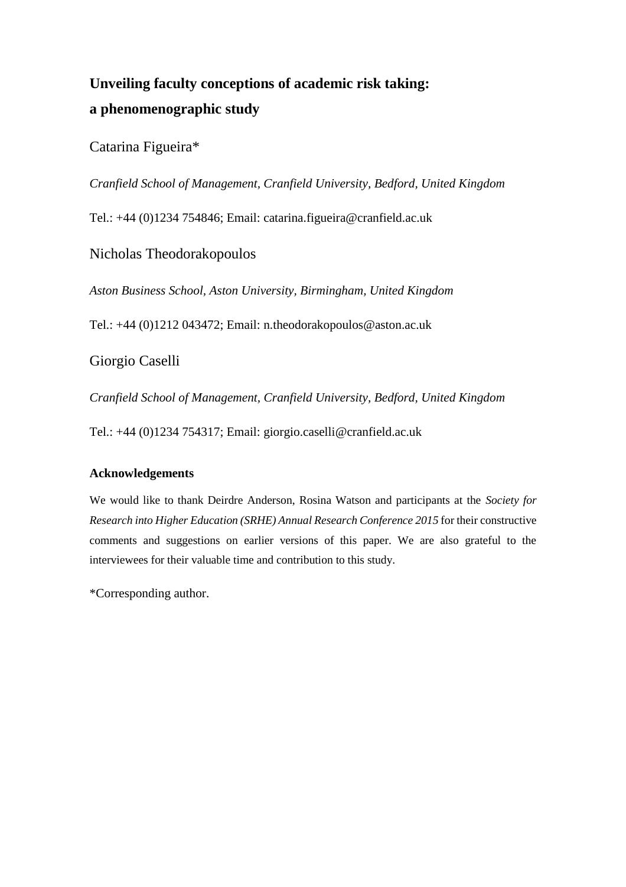# **Unveiling faculty conceptions of academic risk taking: a phenomenographic study**

# Catarina Figueira\*

*Cranfield School of Management, Cranfield University, Bedford, United Kingdom*

Tel.: +44 (0)1234 754846; Email: catarina.figueira@cranfield.ac.uk

Nicholas Theodorakopoulos

*Aston Business School, Aston University, Birmingham, United Kingdom*

Tel.: +44 (0)1212 043472; Email: n.theodorakopoulos@aston.ac.uk

Giorgio Caselli

*Cranfield School of Management, Cranfield University, Bedford, United Kingdom*

Tel.: +44 (0)1234 754317; Email: giorgio.caselli@cranfield.ac.uk

# **Acknowledgements**

We would like to thank Deirdre Anderson, Rosina Watson and participants at the *Society for Research into Higher Education (SRHE) Annual Research Conference 2015* for their constructive comments and suggestions on earlier versions of this paper. We are also grateful to the interviewees for their valuable time and contribution to this study.

\*Corresponding author.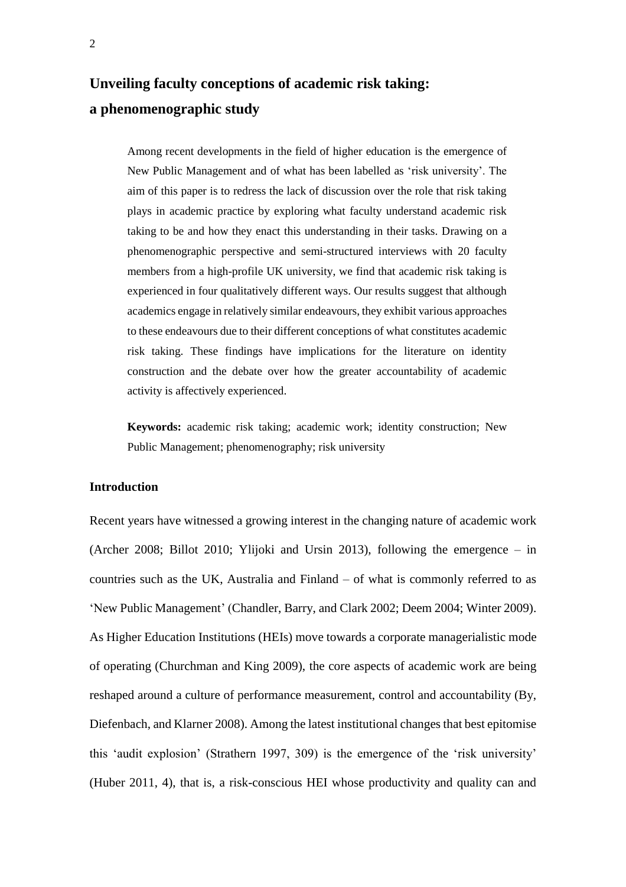# **Unveiling faculty conceptions of academic risk taking: a phenomenographic study**

Among recent developments in the field of higher education is the emergence of New Public Management and of what has been labelled as 'risk university'. The aim of this paper is to redress the lack of discussion over the role that risk taking plays in academic practice by exploring what faculty understand academic risk taking to be and how they enact this understanding in their tasks. Drawing on a phenomenographic perspective and semi-structured interviews with 20 faculty members from a high-profile UK university, we find that academic risk taking is experienced in four qualitatively different ways. Our results suggest that although academics engage in relatively similar endeavours, they exhibit various approaches to these endeavours due to their different conceptions of what constitutes academic risk taking. These findings have implications for the literature on identity construction and the debate over how the greater accountability of academic activity is affectively experienced.

**Keywords:** academic risk taking; academic work; identity construction; New Public Management; phenomenography; risk university

## **Introduction**

Recent years have witnessed a growing interest in the changing nature of academic work (Archer 2008; Billot 2010; Ylijoki and Ursin 2013), following the emergence – in countries such as the UK, Australia and Finland – of what is commonly referred to as 'New Public Management' (Chandler, Barry, and Clark 2002; Deem 2004; Winter 2009). As Higher Education Institutions (HEIs) move towards a corporate managerialistic mode of operating (Churchman and King 2009), the core aspects of academic work are being reshaped around a culture of performance measurement, control and accountability (By, Diefenbach, and Klarner 2008). Among the latest institutional changes that best epitomise this 'audit explosion' (Strathern 1997, 309) is the emergence of the 'risk university' (Huber 2011, 4), that is, a risk-conscious HEI whose productivity and quality can and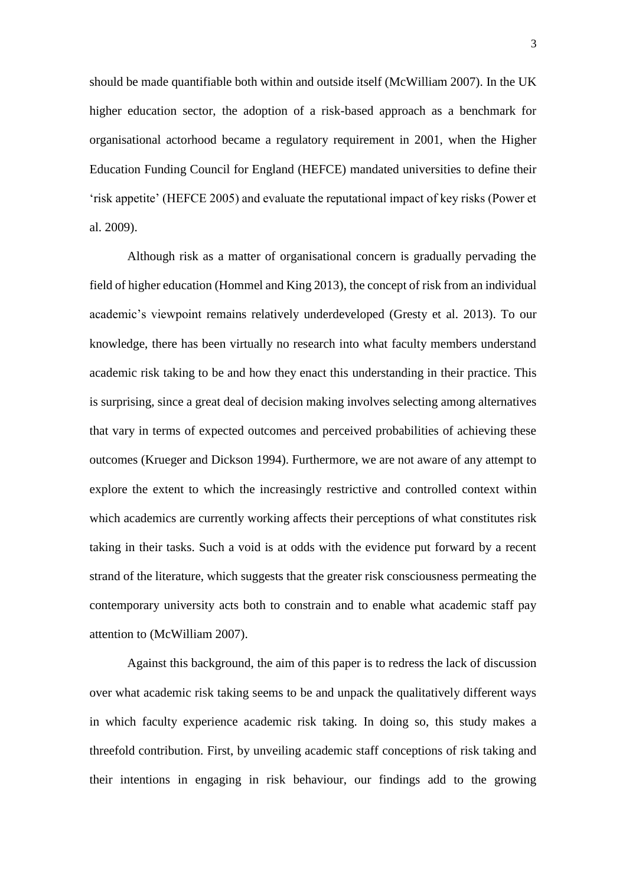should be made quantifiable both within and outside itself (McWilliam 2007). In the UK higher education sector, the adoption of a risk-based approach as a benchmark for organisational actorhood became a regulatory requirement in 2001, when the Higher Education Funding Council for England (HEFCE) mandated universities to define their 'risk appetite' (HEFCE 2005) and evaluate the reputational impact of key risks (Power et al. 2009).

Although risk as a matter of organisational concern is gradually pervading the field of higher education (Hommel and King 2013), the concept of risk from an individual academic's viewpoint remains relatively underdeveloped (Gresty et al. 2013). To our knowledge, there has been virtually no research into what faculty members understand academic risk taking to be and how they enact this understanding in their practice. This is surprising, since a great deal of decision making involves selecting among alternatives that vary in terms of expected outcomes and perceived probabilities of achieving these outcomes (Krueger and Dickson 1994). Furthermore, we are not aware of any attempt to explore the extent to which the increasingly restrictive and controlled context within which academics are currently working affects their perceptions of what constitutes risk taking in their tasks. Such a void is at odds with the evidence put forward by a recent strand of the literature, which suggests that the greater risk consciousness permeating the contemporary university acts both to constrain and to enable what academic staff pay attention to (McWilliam 2007).

Against this background, the aim of this paper is to redress the lack of discussion over what academic risk taking seems to be and unpack the qualitatively different ways in which faculty experience academic risk taking. In doing so, this study makes a threefold contribution. First, by unveiling academic staff conceptions of risk taking and their intentions in engaging in risk behaviour, our findings add to the growing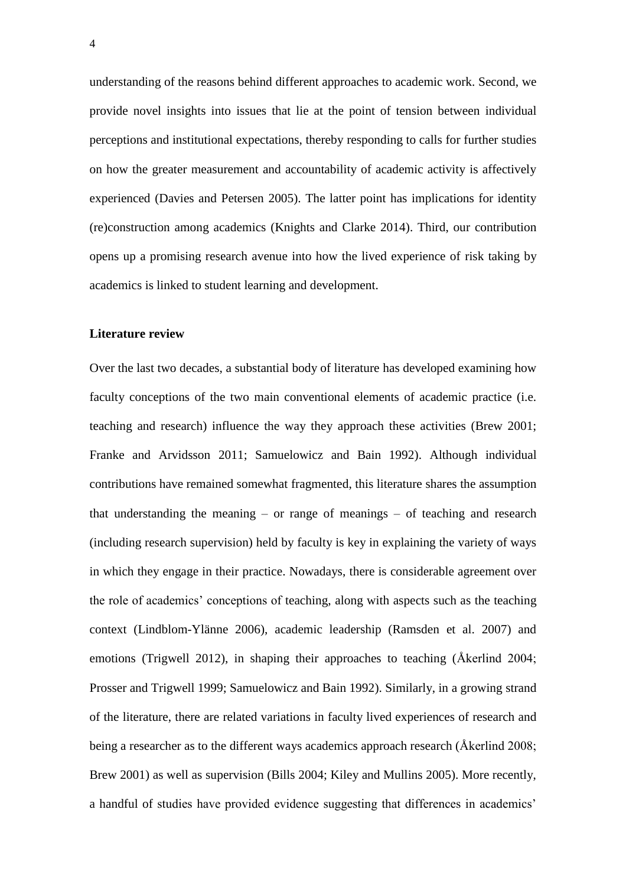understanding of the reasons behind different approaches to academic work. Second, we provide novel insights into issues that lie at the point of tension between individual perceptions and institutional expectations, thereby responding to calls for further studies on how the greater measurement and accountability of academic activity is affectively experienced (Davies and Petersen 2005). The latter point has implications for identity (re)construction among academics (Knights and Clarke 2014). Third, our contribution opens up a promising research avenue into how the lived experience of risk taking by academics is linked to student learning and development.

#### **Literature review**

Over the last two decades, a substantial body of literature has developed examining how faculty conceptions of the two main conventional elements of academic practice (i.e. teaching and research) influence the way they approach these activities (Brew 2001; Franke and Arvidsson 2011; Samuelowicz and Bain 1992). Although individual contributions have remained somewhat fragmented, this literature shares the assumption that understanding the meaning – or range of meanings – of teaching and research (including research supervision) held by faculty is key in explaining the variety of ways in which they engage in their practice. Nowadays, there is considerable agreement over the role of academics' conceptions of teaching, along with aspects such as the teaching context (Lindblom-Ylänne 2006), academic leadership (Ramsden et al. 2007) and emotions (Trigwell 2012), in shaping their approaches to teaching (Åkerlind 2004; Prosser and Trigwell 1999; Samuelowicz and Bain 1992). Similarly, in a growing strand of the literature, there are related variations in faculty lived experiences of research and being a researcher as to the different ways academics approach research (Åkerlind 2008; Brew 2001) as well as supervision (Bills 2004; Kiley and Mullins 2005). More recently, a handful of studies have provided evidence suggesting that differences in academics'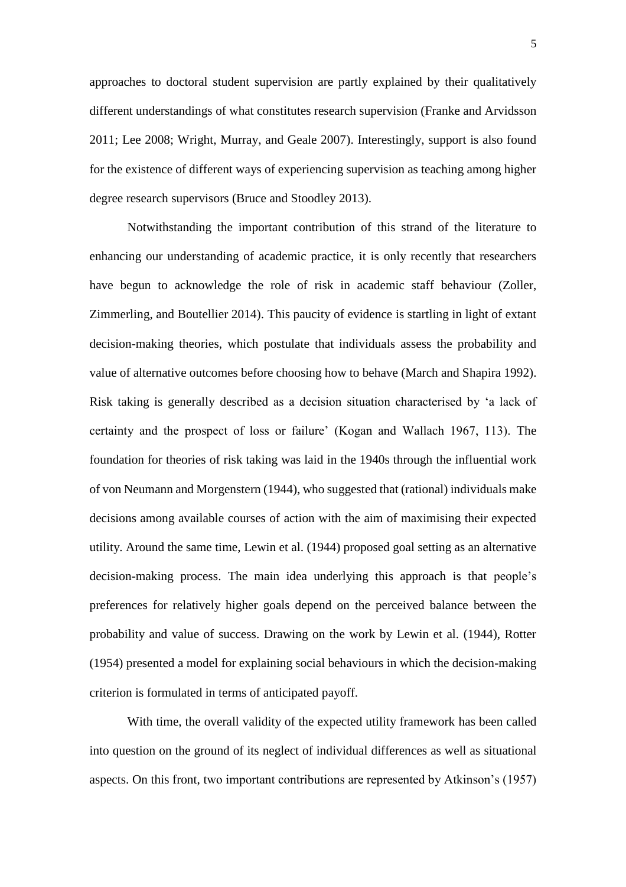approaches to doctoral student supervision are partly explained by their qualitatively different understandings of what constitutes research supervision (Franke and Arvidsson 2011; Lee 2008; Wright, Murray, and Geale 2007). Interestingly, support is also found for the existence of different ways of experiencing supervision as teaching among higher degree research supervisors (Bruce and Stoodley 2013).

Notwithstanding the important contribution of this strand of the literature to enhancing our understanding of academic practice, it is only recently that researchers have begun to acknowledge the role of risk in academic staff behaviour (Zoller, Zimmerling, and Boutellier 2014). This paucity of evidence is startling in light of extant decision-making theories, which postulate that individuals assess the probability and value of alternative outcomes before choosing how to behave (March and Shapira 1992). Risk taking is generally described as a decision situation characterised by 'a lack of certainty and the prospect of loss or failure' (Kogan and Wallach 1967, 113). The foundation for theories of risk taking was laid in the 1940s through the influential work of von Neumann and Morgenstern (1944), who suggested that (rational) individuals make decisions among available courses of action with the aim of maximising their expected utility. Around the same time, Lewin et al. (1944) proposed goal setting as an alternative decision-making process. The main idea underlying this approach is that people's preferences for relatively higher goals depend on the perceived balance between the probability and value of success. Drawing on the work by Lewin et al. (1944), Rotter (1954) presented a model for explaining social behaviours in which the decision-making criterion is formulated in terms of anticipated payoff.

With time, the overall validity of the expected utility framework has been called into question on the ground of its neglect of individual differences as well as situational aspects. On this front, two important contributions are represented by Atkinson's (1957)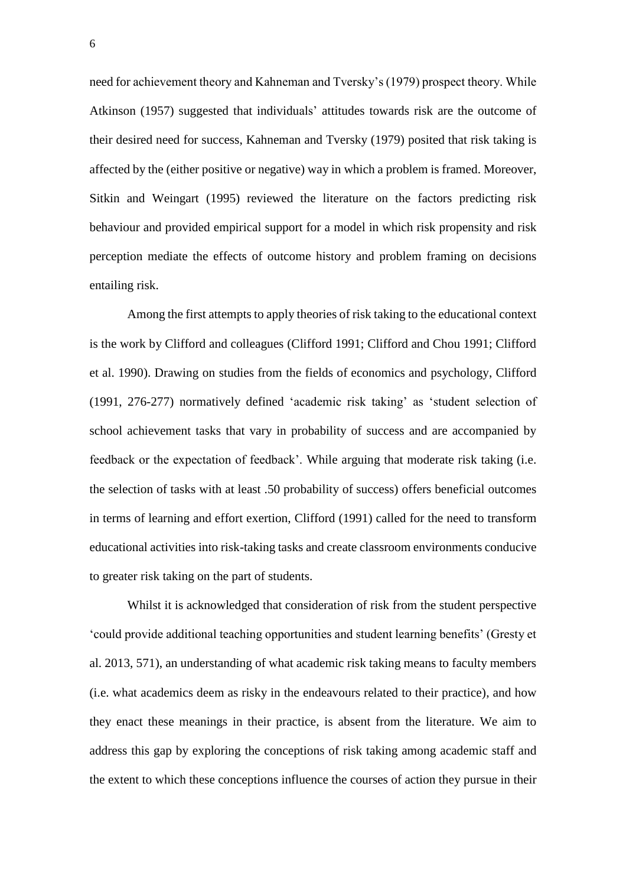need for achievement theory and Kahneman and Tversky's (1979) prospect theory. While Atkinson (1957) suggested that individuals' attitudes towards risk are the outcome of their desired need for success, Kahneman and Tversky (1979) posited that risk taking is affected by the (either positive or negative) way in which a problem is framed. Moreover, Sitkin and Weingart (1995) reviewed the literature on the factors predicting risk behaviour and provided empirical support for a model in which risk propensity and risk perception mediate the effects of outcome history and problem framing on decisions entailing risk.

Among the first attempts to apply theories of risk taking to the educational context is the work by Clifford and colleagues (Clifford 1991; Clifford and Chou 1991; Clifford et al. 1990). Drawing on studies from the fields of economics and psychology, Clifford (1991, 276-277) normatively defined 'academic risk taking' as 'student selection of school achievement tasks that vary in probability of success and are accompanied by feedback or the expectation of feedback'. While arguing that moderate risk taking (i.e. the selection of tasks with at least .50 probability of success) offers beneficial outcomes in terms of learning and effort exertion, Clifford (1991) called for the need to transform educational activities into risk-taking tasks and create classroom environments conducive to greater risk taking on the part of students.

Whilst it is acknowledged that consideration of risk from the student perspective 'could provide additional teaching opportunities and student learning benefits' (Gresty et al. 2013, 571), an understanding of what academic risk taking means to faculty members (i.e. what academics deem as risky in the endeavours related to their practice), and how they enact these meanings in their practice, is absent from the literature. We aim to address this gap by exploring the conceptions of risk taking among academic staff and the extent to which these conceptions influence the courses of action they pursue in their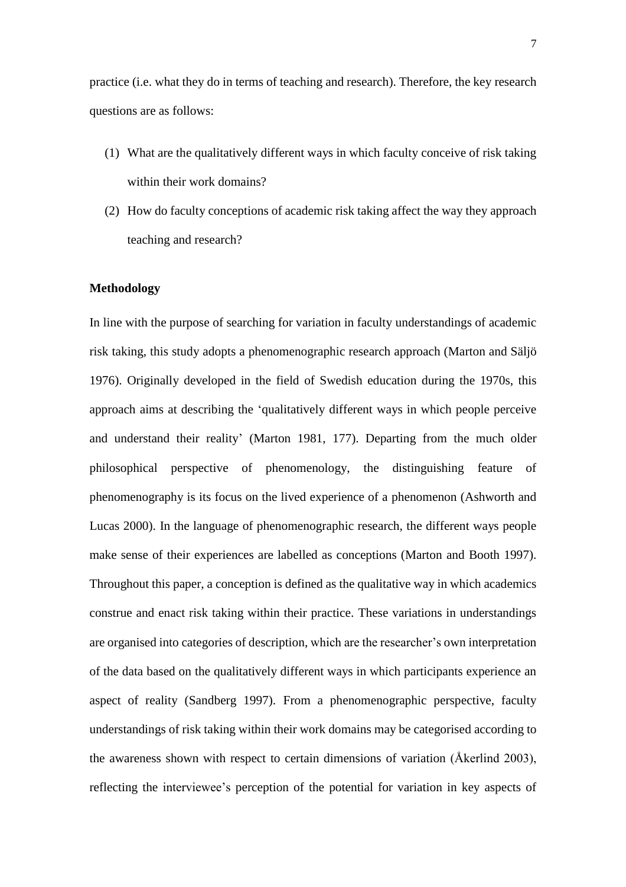practice (i.e. what they do in terms of teaching and research). Therefore, the key research questions are as follows:

- (1) What are the qualitatively different ways in which faculty conceive of risk taking within their work domains?
- (2) How do faculty conceptions of academic risk taking affect the way they approach teaching and research?

## **Methodology**

In line with the purpose of searching for variation in faculty understandings of academic risk taking, this study adopts a phenomenographic research approach (Marton and Säljö 1976). Originally developed in the field of Swedish education during the 1970s, this approach aims at describing the 'qualitatively different ways in which people perceive and understand their reality' (Marton 1981, 177). Departing from the much older philosophical perspective of phenomenology, the distinguishing feature of phenomenography is its focus on the lived experience of a phenomenon (Ashworth and Lucas 2000). In the language of phenomenographic research, the different ways people make sense of their experiences are labelled as conceptions (Marton and Booth 1997). Throughout this paper, a conception is defined as the qualitative way in which academics construe and enact risk taking within their practice. These variations in understandings are organised into categories of description, which are the researcher's own interpretation of the data based on the qualitatively different ways in which participants experience an aspect of reality (Sandberg 1997). From a phenomenographic perspective, faculty understandings of risk taking within their work domains may be categorised according to the awareness shown with respect to certain dimensions of variation (Åkerlind 2003), reflecting the interviewee's perception of the potential for variation in key aspects of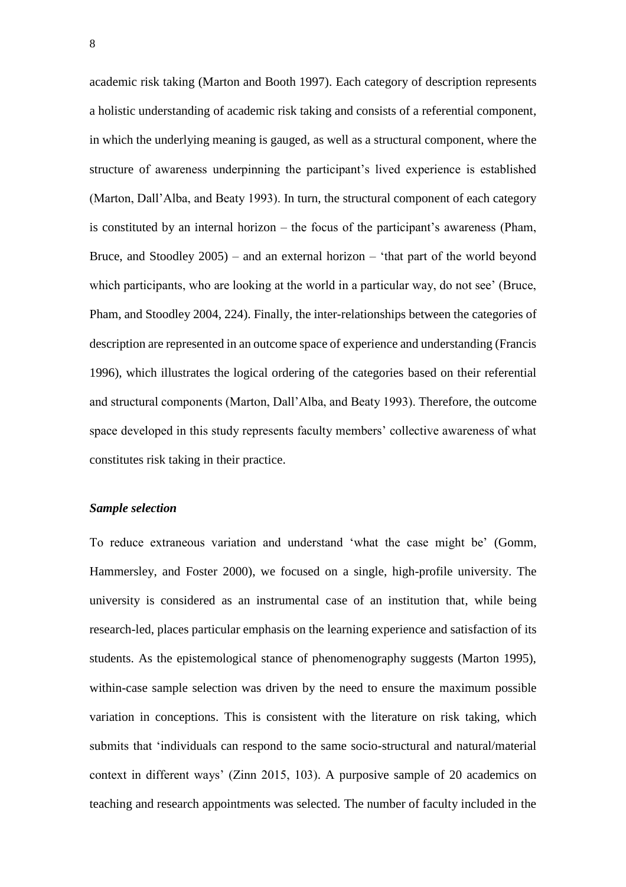academic risk taking (Marton and Booth 1997). Each category of description represents a holistic understanding of academic risk taking and consists of a referential component, in which the underlying meaning is gauged, as well as a structural component, where the structure of awareness underpinning the participant's lived experience is established (Marton, Dall'Alba, and Beaty 1993). In turn, the structural component of each category is constituted by an internal horizon – the focus of the participant's awareness (Pham, Bruce, and Stoodley  $2005$  – and an external horizon – 'that part of the world beyond which participants, who are looking at the world in a particular way, do not see' (Bruce, Pham, and Stoodley 2004, 224). Finally, the inter-relationships between the categories of description are represented in an outcome space of experience and understanding (Francis 1996), which illustrates the logical ordering of the categories based on their referential and structural components (Marton, Dall'Alba, and Beaty 1993). Therefore, the outcome space developed in this study represents faculty members' collective awareness of what constitutes risk taking in their practice.

# *Sample selection*

To reduce extraneous variation and understand 'what the case might be' (Gomm, Hammersley, and Foster 2000), we focused on a single, high-profile university. The university is considered as an instrumental case of an institution that, while being research-led, places particular emphasis on the learning experience and satisfaction of its students. As the epistemological stance of phenomenography suggests (Marton 1995), within-case sample selection was driven by the need to ensure the maximum possible variation in conceptions. This is consistent with the literature on risk taking, which submits that 'individuals can respond to the same socio-structural and natural/material context in different ways' (Zinn 2015, 103). A purposive sample of 20 academics on teaching and research appointments was selected. The number of faculty included in the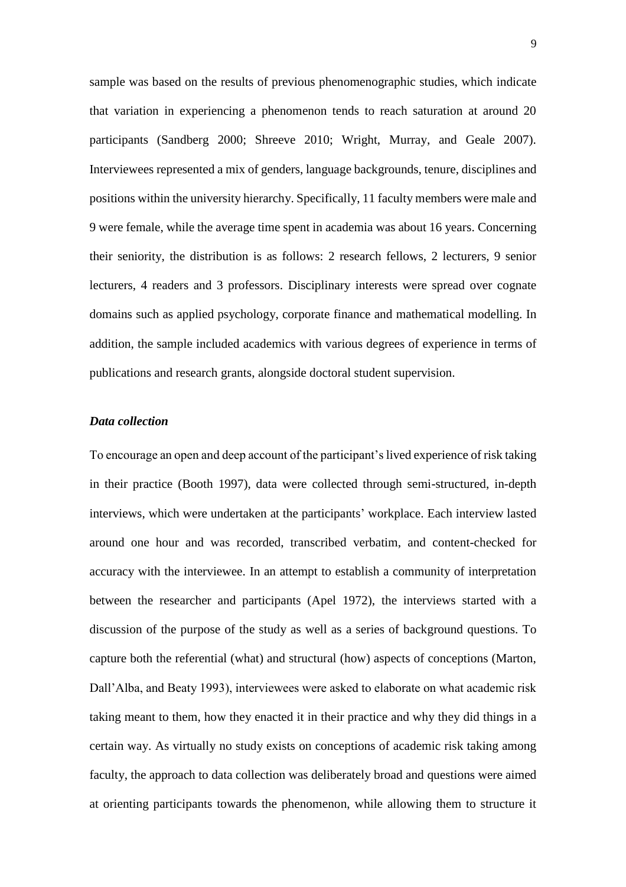sample was based on the results of previous phenomenographic studies, which indicate that variation in experiencing a phenomenon tends to reach saturation at around 20 participants (Sandberg 2000; Shreeve 2010; Wright, Murray, and Geale 2007). Interviewees represented a mix of genders, language backgrounds, tenure, disciplines and positions within the university hierarchy. Specifically, 11 faculty members were male and 9 were female, while the average time spent in academia was about 16 years. Concerning their seniority, the distribution is as follows: 2 research fellows, 2 lecturers, 9 senior lecturers, 4 readers and 3 professors. Disciplinary interests were spread over cognate domains such as applied psychology, corporate finance and mathematical modelling. In addition, the sample included academics with various degrees of experience in terms of publications and research grants, alongside doctoral student supervision.

## *Data collection*

To encourage an open and deep account of the participant's lived experience of risk taking in their practice (Booth 1997), data were collected through semi-structured, in-depth interviews, which were undertaken at the participants' workplace. Each interview lasted around one hour and was recorded, transcribed verbatim, and content-checked for accuracy with the interviewee. In an attempt to establish a community of interpretation between the researcher and participants (Apel 1972), the interviews started with a discussion of the purpose of the study as well as a series of background questions. To capture both the referential (what) and structural (how) aspects of conceptions (Marton, Dall'Alba, and Beaty 1993), interviewees were asked to elaborate on what academic risk taking meant to them, how they enacted it in their practice and why they did things in a certain way. As virtually no study exists on conceptions of academic risk taking among faculty, the approach to data collection was deliberately broad and questions were aimed at orienting participants towards the phenomenon, while allowing them to structure it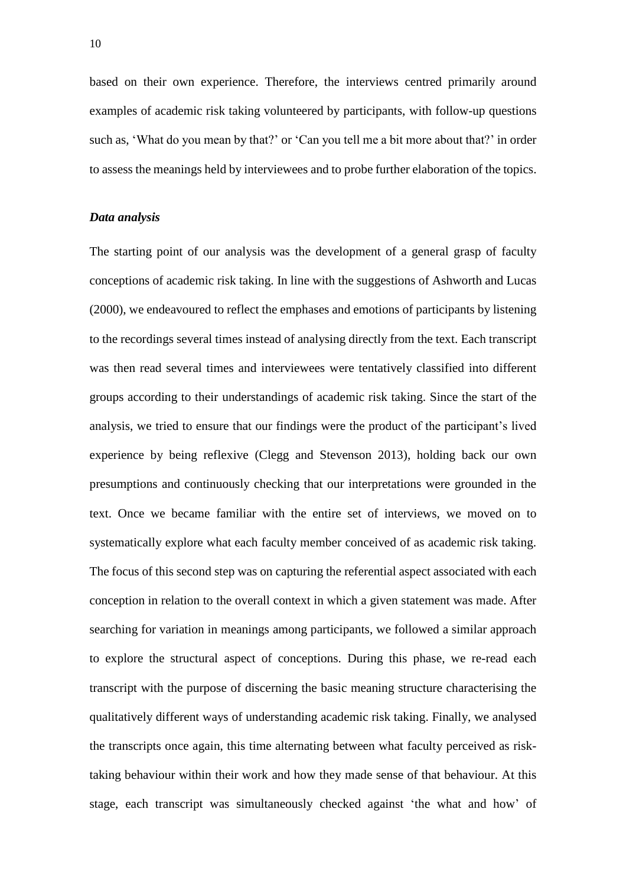based on their own experience. Therefore, the interviews centred primarily around examples of academic risk taking volunteered by participants, with follow-up questions such as, 'What do you mean by that?' or 'Can you tell me a bit more about that?' in order to assess the meanings held by interviewees and to probe further elaboration of the topics.

#### *Data analysis*

The starting point of our analysis was the development of a general grasp of faculty conceptions of academic risk taking. In line with the suggestions of Ashworth and Lucas (2000), we endeavoured to reflect the emphases and emotions of participants by listening to the recordings several times instead of analysing directly from the text. Each transcript was then read several times and interviewees were tentatively classified into different groups according to their understandings of academic risk taking. Since the start of the analysis, we tried to ensure that our findings were the product of the participant's lived experience by being reflexive (Clegg and Stevenson 2013), holding back our own presumptions and continuously checking that our interpretations were grounded in the text. Once we became familiar with the entire set of interviews, we moved on to systematically explore what each faculty member conceived of as academic risk taking. The focus of this second step was on capturing the referential aspect associated with each conception in relation to the overall context in which a given statement was made. After searching for variation in meanings among participants, we followed a similar approach to explore the structural aspect of conceptions. During this phase, we re-read each transcript with the purpose of discerning the basic meaning structure characterising the qualitatively different ways of understanding academic risk taking. Finally, we analysed the transcripts once again, this time alternating between what faculty perceived as risktaking behaviour within their work and how they made sense of that behaviour. At this stage, each transcript was simultaneously checked against 'the what and how' of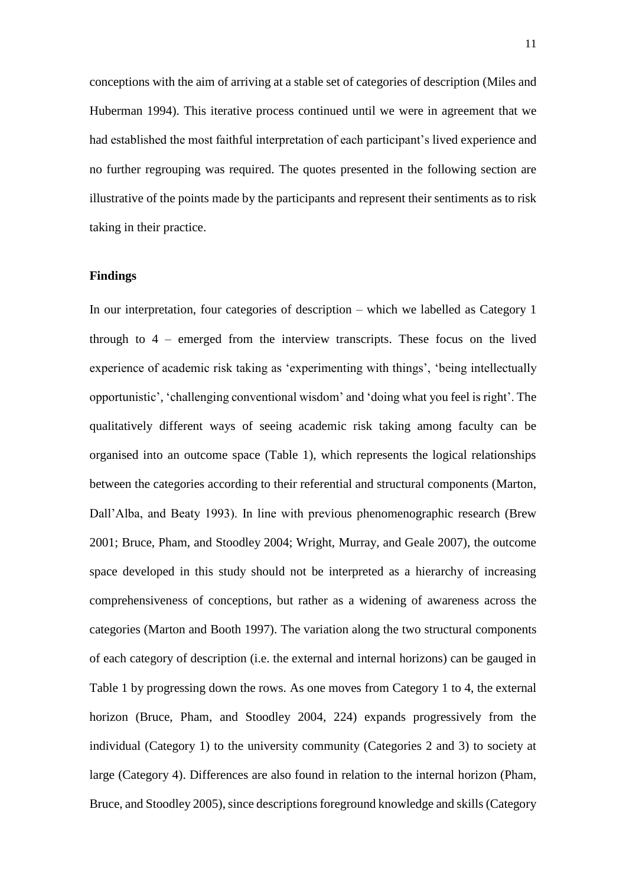conceptions with the aim of arriving at a stable set of categories of description (Miles and Huberman 1994). This iterative process continued until we were in agreement that we had established the most faithful interpretation of each participant's lived experience and no further regrouping was required. The quotes presented in the following section are illustrative of the points made by the participants and represent their sentiments as to risk taking in their practice.

#### **Findings**

In our interpretation, four categories of description – which we labelled as Category 1 through to 4 – emerged from the interview transcripts. These focus on the lived experience of academic risk taking as 'experimenting with things', 'being intellectually opportunistic', 'challenging conventional wisdom' and 'doing what you feel is right'. The qualitatively different ways of seeing academic risk taking among faculty can be organised into an outcome space (Table 1), which represents the logical relationships between the categories according to their referential and structural components (Marton, Dall'Alba, and Beaty 1993). In line with previous phenomenographic research (Brew 2001; Bruce, Pham, and Stoodley 2004; Wright, Murray, and Geale 2007), the outcome space developed in this study should not be interpreted as a hierarchy of increasing comprehensiveness of conceptions, but rather as a widening of awareness across the categories (Marton and Booth 1997). The variation along the two structural components of each category of description (i.e. the external and internal horizons) can be gauged in Table 1 by progressing down the rows. As one moves from Category 1 to 4, the external horizon (Bruce, Pham, and Stoodley 2004, 224) expands progressively from the individual (Category 1) to the university community (Categories 2 and 3) to society at large (Category 4). Differences are also found in relation to the internal horizon (Pham, Bruce, and Stoodley 2005), since descriptions foreground knowledge and skills (Category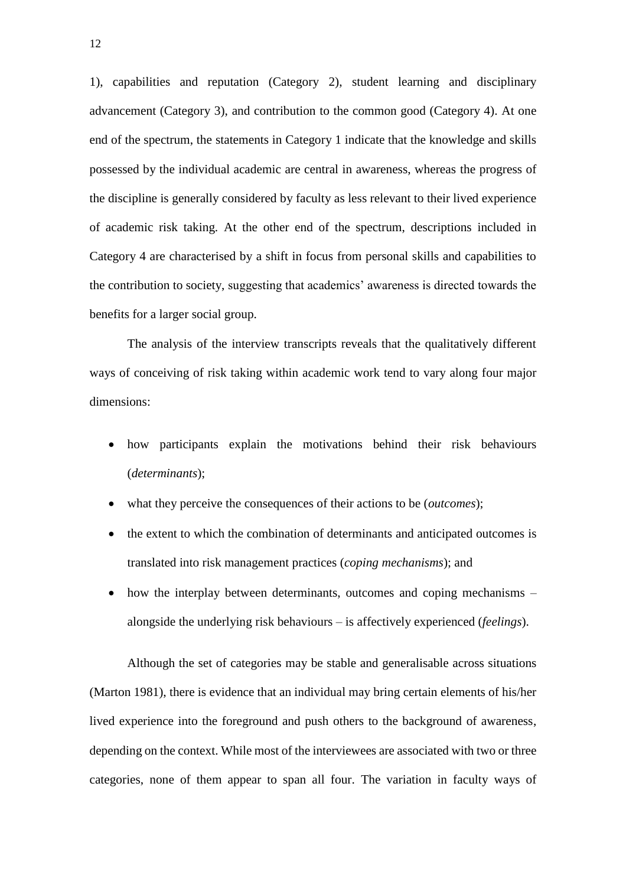1), capabilities and reputation (Category 2), student learning and disciplinary advancement (Category 3), and contribution to the common good (Category 4). At one end of the spectrum, the statements in Category 1 indicate that the knowledge and skills possessed by the individual academic are central in awareness, whereas the progress of the discipline is generally considered by faculty as less relevant to their lived experience of academic risk taking. At the other end of the spectrum, descriptions included in Category 4 are characterised by a shift in focus from personal skills and capabilities to the contribution to society, suggesting that academics' awareness is directed towards the benefits for a larger social group.

The analysis of the interview transcripts reveals that the qualitatively different ways of conceiving of risk taking within academic work tend to vary along four major dimensions:

- how participants explain the motivations behind their risk behaviours (*determinants*);
- what they perceive the consequences of their actions to be (*outcomes*);
- the extent to which the combination of determinants and anticipated outcomes is translated into risk management practices (*coping mechanisms*); and
- how the interplay between determinants, outcomes and coping mechanisms alongside the underlying risk behaviours – is affectively experienced (*feelings*).

Although the set of categories may be stable and generalisable across situations (Marton 1981), there is evidence that an individual may bring certain elements of his/her lived experience into the foreground and push others to the background of awareness, depending on the context. While most of the interviewees are associated with two or three categories, none of them appear to span all four. The variation in faculty ways of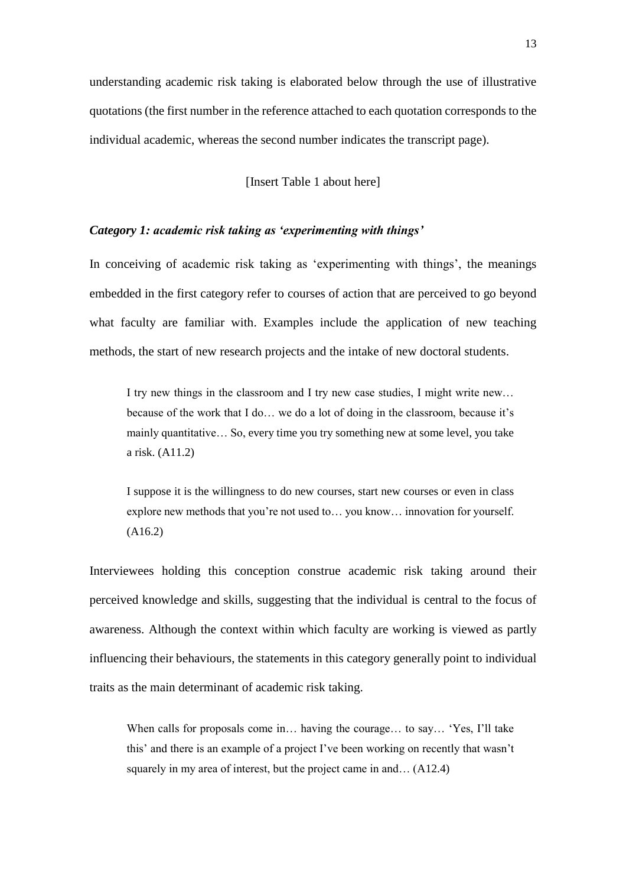understanding academic risk taking is elaborated below through the use of illustrative quotations (the first number in the reference attached to each quotation corresponds to the individual academic, whereas the second number indicates the transcript page).

[Insert Table 1 about here]

### *Category 1: academic risk taking as 'experimenting with things'*

In conceiving of academic risk taking as 'experimenting with things', the meanings embedded in the first category refer to courses of action that are perceived to go beyond what faculty are familiar with. Examples include the application of new teaching methods, the start of new research projects and the intake of new doctoral students.

I try new things in the classroom and I try new case studies, I might write new… because of the work that I do… we do a lot of doing in the classroom, because it's mainly quantitative… So, every time you try something new at some level, you take a risk. (A11.2)

I suppose it is the willingness to do new courses, start new courses or even in class explore new methods that you're not used to... you know... innovation for yourself. (A16.2)

Interviewees holding this conception construe academic risk taking around their perceived knowledge and skills, suggesting that the individual is central to the focus of awareness. Although the context within which faculty are working is viewed as partly influencing their behaviours, the statements in this category generally point to individual traits as the main determinant of academic risk taking.

When calls for proposals come in... having the courage... to say... 'Yes, I'll take this' and there is an example of a project I've been working on recently that wasn't squarely in my area of interest, but the project came in and… (A12.4)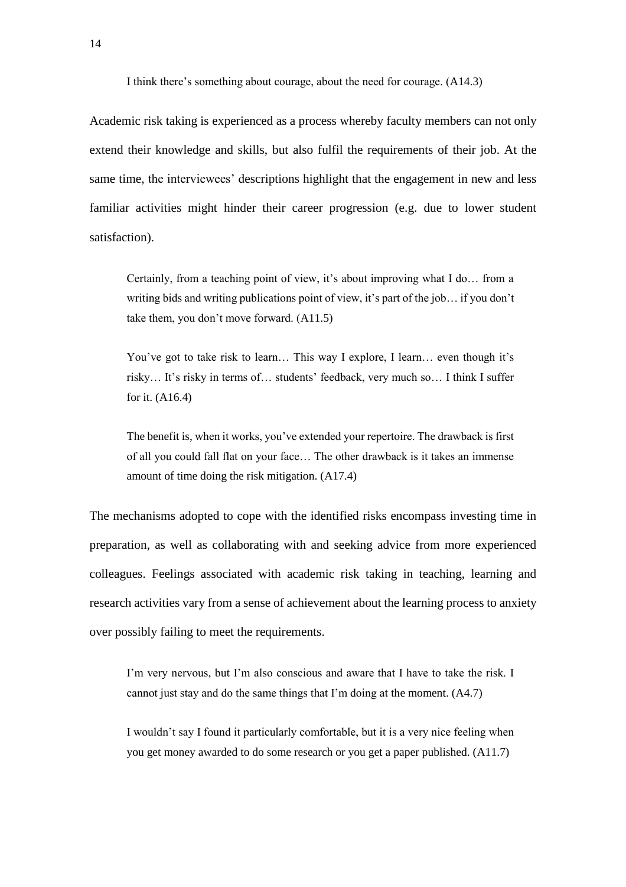I think there's something about courage, about the need for courage. (A14.3)

Academic risk taking is experienced as a process whereby faculty members can not only extend their knowledge and skills, but also fulfil the requirements of their job. At the same time, the interviewees' descriptions highlight that the engagement in new and less familiar activities might hinder their career progression (e.g. due to lower student satisfaction).

Certainly, from a teaching point of view, it's about improving what I do… from a writing bids and writing publications point of view, it's part of the job… if you don't take them, you don't move forward. (A11.5)

You've got to take risk to learn… This way I explore, I learn… even though it's risky… It's risky in terms of… students' feedback, very much so… I think I suffer for it. (A16.4)

The benefit is, when it works, you've extended your repertoire. The drawback is first of all you could fall flat on your face… The other drawback is it takes an immense amount of time doing the risk mitigation. (A17.4)

The mechanisms adopted to cope with the identified risks encompass investing time in preparation, as well as collaborating with and seeking advice from more experienced colleagues. Feelings associated with academic risk taking in teaching, learning and research activities vary from a sense of achievement about the learning process to anxiety over possibly failing to meet the requirements.

I'm very nervous, but I'm also conscious and aware that I have to take the risk. I cannot just stay and do the same things that I'm doing at the moment. (A4.7)

I wouldn't say I found it particularly comfortable, but it is a very nice feeling when you get money awarded to do some research or you get a paper published. (A11.7)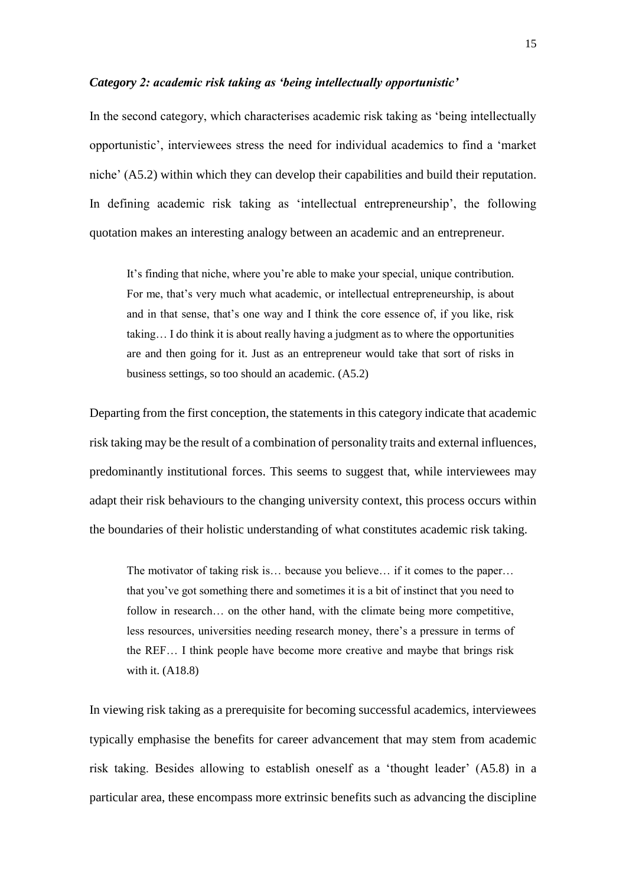#### *Category 2: academic risk taking as 'being intellectually opportunistic'*

In the second category, which characterises academic risk taking as 'being intellectually opportunistic', interviewees stress the need for individual academics to find a 'market niche' (A5.2) within which they can develop their capabilities and build their reputation. In defining academic risk taking as 'intellectual entrepreneurship', the following quotation makes an interesting analogy between an academic and an entrepreneur.

It's finding that niche, where you're able to make your special, unique contribution. For me, that's very much what academic, or intellectual entrepreneurship, is about and in that sense, that's one way and I think the core essence of, if you like, risk taking… I do think it is about really having a judgment as to where the opportunities are and then going for it. Just as an entrepreneur would take that sort of risks in business settings, so too should an academic. (A5.2)

Departing from the first conception, the statements in this category indicate that academic risk taking may be the result of a combination of personality traits and external influences, predominantly institutional forces. This seems to suggest that, while interviewees may adapt their risk behaviours to the changing university context, this process occurs within the boundaries of their holistic understanding of what constitutes academic risk taking.

The motivator of taking risk is… because you believe… if it comes to the paper… that you've got something there and sometimes it is a bit of instinct that you need to follow in research... on the other hand, with the climate being more competitive, less resources, universities needing research money, there's a pressure in terms of the REF… I think people have become more creative and maybe that brings risk with it. (A18.8)

In viewing risk taking as a prerequisite for becoming successful academics, interviewees typically emphasise the benefits for career advancement that may stem from academic risk taking. Besides allowing to establish oneself as a 'thought leader' (A5.8) in a particular area, these encompass more extrinsic benefits such as advancing the discipline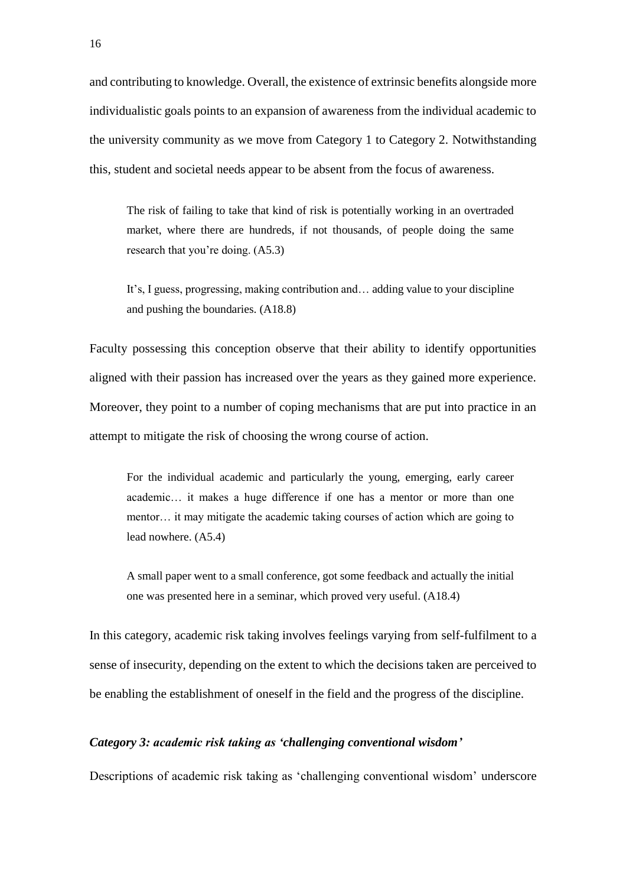and contributing to knowledge. Overall, the existence of extrinsic benefits alongside more individualistic goals points to an expansion of awareness from the individual academic to the university community as we move from Category 1 to Category 2. Notwithstanding this, student and societal needs appear to be absent from the focus of awareness.

The risk of failing to take that kind of risk is potentially working in an overtraded market, where there are hundreds, if not thousands, of people doing the same research that you're doing. (A5.3)

It's, I guess, progressing, making contribution and… adding value to your discipline and pushing the boundaries. (A18.8)

Faculty possessing this conception observe that their ability to identify opportunities aligned with their passion has increased over the years as they gained more experience. Moreover, they point to a number of coping mechanisms that are put into practice in an attempt to mitigate the risk of choosing the wrong course of action.

For the individual academic and particularly the young, emerging, early career academic… it makes a huge difference if one has a mentor or more than one mentor… it may mitigate the academic taking courses of action which are going to lead nowhere. (A5.4)

A small paper went to a small conference, got some feedback and actually the initial one was presented here in a seminar, which proved very useful. (A18.4)

In this category, academic risk taking involves feelings varying from self-fulfilment to a sense of insecurity, depending on the extent to which the decisions taken are perceived to be enabling the establishment of oneself in the field and the progress of the discipline.

#### *Category 3: academic risk taking as 'challenging conventional wisdom'*

Descriptions of academic risk taking as 'challenging conventional wisdom' underscore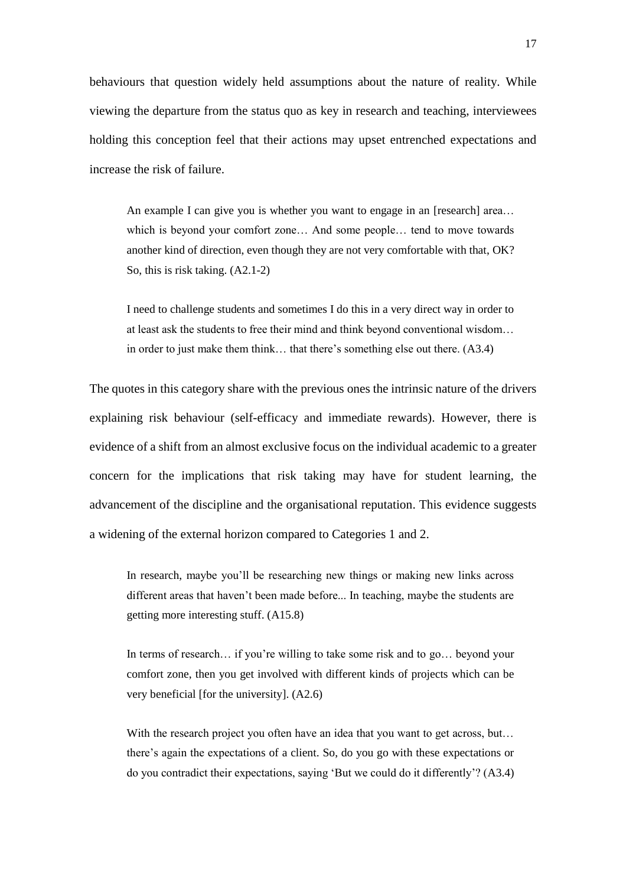behaviours that question widely held assumptions about the nature of reality. While viewing the departure from the status quo as key in research and teaching, interviewees holding this conception feel that their actions may upset entrenched expectations and increase the risk of failure.

An example I can give you is whether you want to engage in an [research] area... which is beyond your comfort zone... And some people... tend to move towards another kind of direction, even though they are not very comfortable with that, OK? So, this is risk taking. (A2.1-2)

I need to challenge students and sometimes I do this in a very direct way in order to at least ask the students to free their mind and think beyond conventional wisdom… in order to just make them think… that there's something else out there. (A3.4)

The quotes in this category share with the previous ones the intrinsic nature of the drivers explaining risk behaviour (self-efficacy and immediate rewards). However, there is evidence of a shift from an almost exclusive focus on the individual academic to a greater concern for the implications that risk taking may have for student learning, the advancement of the discipline and the organisational reputation. This evidence suggests a widening of the external horizon compared to Categories 1 and 2.

In research, maybe you'll be researching new things or making new links across different areas that haven't been made before... In teaching, maybe the students are getting more interesting stuff. (A15.8)

In terms of research... if you're willing to take some risk and to go... beyond your comfort zone, then you get involved with different kinds of projects which can be very beneficial [for the university]. (A2.6)

With the research project you often have an idea that you want to get across, but... there's again the expectations of a client. So, do you go with these expectations or do you contradict their expectations, saying 'But we could do it differently'? (A3.4)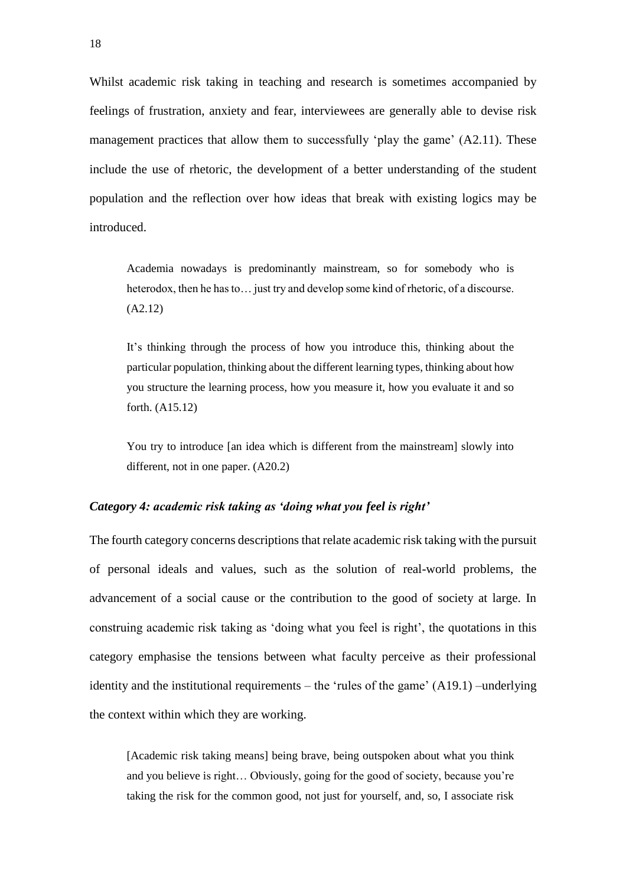Whilst academic risk taking in teaching and research is sometimes accompanied by feelings of frustration, anxiety and fear, interviewees are generally able to devise risk management practices that allow them to successfully 'play the game' (A2.11). These include the use of rhetoric, the development of a better understanding of the student population and the reflection over how ideas that break with existing logics may be introduced.

Academia nowadays is predominantly mainstream, so for somebody who is heterodox, then he has to... just try and develop some kind of rhetoric, of a discourse. (A2.12)

It's thinking through the process of how you introduce this, thinking about the particular population, thinking about the different learning types, thinking about how you structure the learning process, how you measure it, how you evaluate it and so forth. (A15.12)

You try to introduce [an idea which is different from the mainstream] slowly into different, not in one paper. (A20.2)

## *Category 4: academic risk taking as 'doing what you feel is right'*

The fourth category concerns descriptions that relate academic risk taking with the pursuit of personal ideals and values, such as the solution of real-world problems, the advancement of a social cause or the contribution to the good of society at large. In construing academic risk taking as 'doing what you feel is right', the quotations in this category emphasise the tensions between what faculty perceive as their professional identity and the institutional requirements – the 'rules of the game' (A19.1) –underlying the context within which they are working.

[Academic risk taking means] being brave, being outspoken about what you think and you believe is right… Obviously, going for the good of society, because you're taking the risk for the common good, not just for yourself, and, so, I associate risk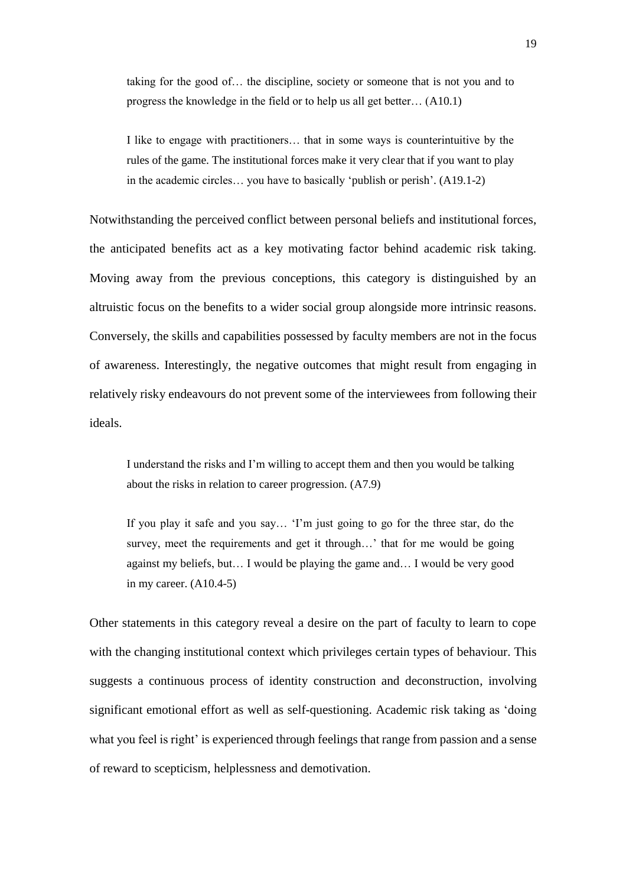taking for the good of… the discipline, society or someone that is not you and to progress the knowledge in the field or to help us all get better… (A10.1)

I like to engage with practitioners… that in some ways is counterintuitive by the rules of the game. The institutional forces make it very clear that if you want to play in the academic circles… you have to basically 'publish or perish'. (A19.1-2)

Notwithstanding the perceived conflict between personal beliefs and institutional forces, the anticipated benefits act as a key motivating factor behind academic risk taking. Moving away from the previous conceptions, this category is distinguished by an altruistic focus on the benefits to a wider social group alongside more intrinsic reasons. Conversely, the skills and capabilities possessed by faculty members are not in the focus of awareness. Interestingly, the negative outcomes that might result from engaging in relatively risky endeavours do not prevent some of the interviewees from following their ideals.

I understand the risks and I'm willing to accept them and then you would be talking about the risks in relation to career progression. (A7.9)

If you play it safe and you say… 'I'm just going to go for the three star, do the survey, meet the requirements and get it through…' that for me would be going against my beliefs, but… I would be playing the game and… I would be very good in my career. (A10.4-5)

Other statements in this category reveal a desire on the part of faculty to learn to cope with the changing institutional context which privileges certain types of behaviour. This suggests a continuous process of identity construction and deconstruction, involving significant emotional effort as well as self-questioning. Academic risk taking as 'doing what you feel is right' is experienced through feelings that range from passion and a sense of reward to scepticism, helplessness and demotivation.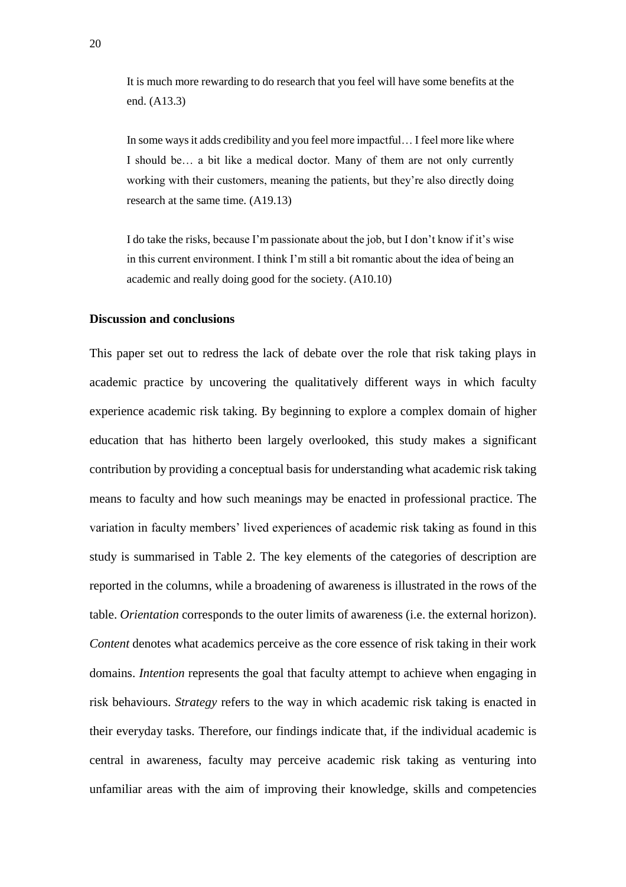It is much more rewarding to do research that you feel will have some benefits at the end. (A13.3)

In some ways it adds credibility and you feel more impactful… I feel more like where I should be… a bit like a medical doctor. Many of them are not only currently working with their customers, meaning the patients, but they're also directly doing research at the same time. (A19.13)

I do take the risks, because I'm passionate about the job, but I don't know if it's wise in this current environment. I think I'm still a bit romantic about the idea of being an academic and really doing good for the society. (A10.10)

# **Discussion and conclusions**

This paper set out to redress the lack of debate over the role that risk taking plays in academic practice by uncovering the qualitatively different ways in which faculty experience academic risk taking. By beginning to explore a complex domain of higher education that has hitherto been largely overlooked, this study makes a significant contribution by providing a conceptual basis for understanding what academic risk taking means to faculty and how such meanings may be enacted in professional practice. The variation in faculty members' lived experiences of academic risk taking as found in this study is summarised in Table 2. The key elements of the categories of description are reported in the columns, while a broadening of awareness is illustrated in the rows of the table. *Orientation* corresponds to the outer limits of awareness (i.e. the external horizon). *Content* denotes what academics perceive as the core essence of risk taking in their work domains. *Intention* represents the goal that faculty attempt to achieve when engaging in risk behaviours. *Strategy* refers to the way in which academic risk taking is enacted in their everyday tasks. Therefore, our findings indicate that, if the individual academic is central in awareness, faculty may perceive academic risk taking as venturing into unfamiliar areas with the aim of improving their knowledge, skills and competencies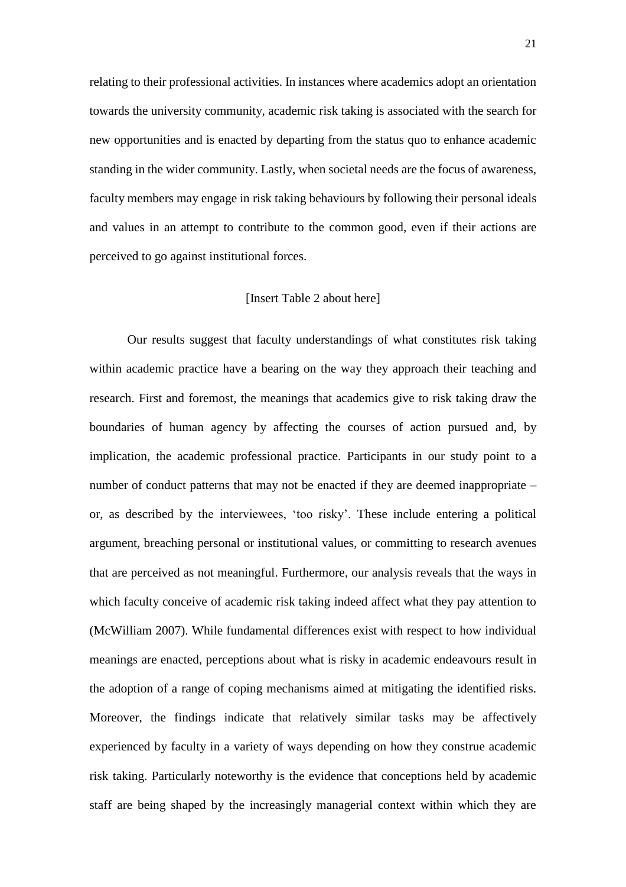relating to their professional activities. In instances where academics adopt an orientation towards the university community, academic risk taking is associated with the search for new opportunities and is enacted by departing from the status quo to enhance academic standing in the wider community. Lastly, when societal needs are the focus of awareness, faculty members may engage in risk taking behaviours by following their personal ideals and values in an attempt to contribute to the common good, even if their actions are perceived to go against institutional forces.

#### [Insert Table 2 about here]

Our results suggest that faculty understandings of what constitutes risk taking within academic practice have a bearing on the way they approach their teaching and research. First and foremost, the meanings that academics give to risk taking draw the boundaries of human agency by affecting the courses of action pursued and, by implication, the academic professional practice. Participants in our study point to a number of conduct patterns that may not be enacted if they are deemed inappropriate – or, as described by the interviewees, 'too risky'. These include entering a political argument, breaching personal or institutional values, or committing to research avenues that are perceived as not meaningful. Furthermore, our analysis reveals that the ways in which faculty conceive of academic risk taking indeed affect what they pay attention to (McWilliam 2007). While fundamental differences exist with respect to how individual meanings are enacted, perceptions about what is risky in academic endeavours result in the adoption of a range of coping mechanisms aimed at mitigating the identified risks. Moreover, the findings indicate that relatively similar tasks may be affectively experienced by faculty in a variety of ways depending on how they construe academic risk taking. Particularly noteworthy is the evidence that conceptions held by academic staff are being shaped by the increasingly managerial context within which they are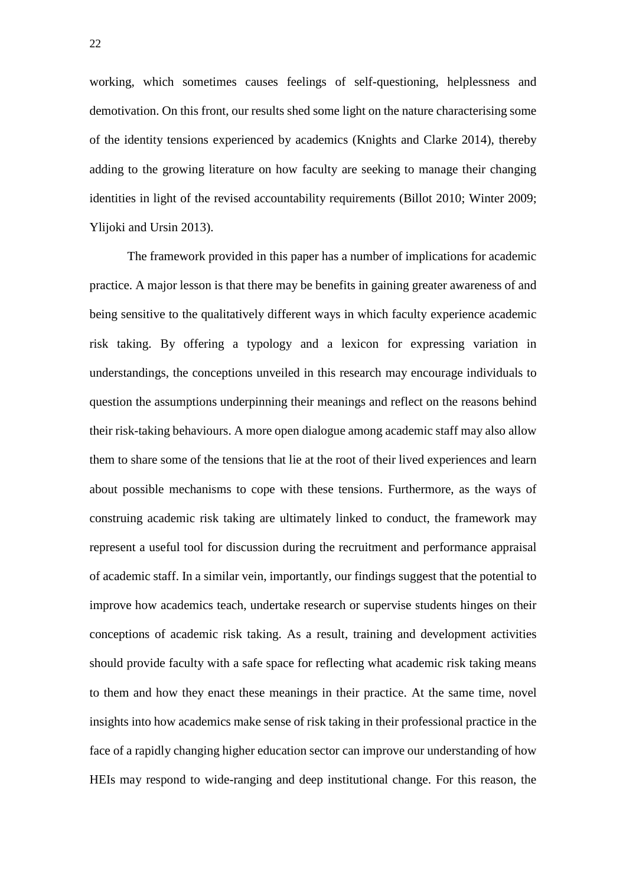working, which sometimes causes feelings of self-questioning, helplessness and demotivation. On this front, our results shed some light on the nature characterising some of the identity tensions experienced by academics (Knights and Clarke 2014), thereby adding to the growing literature on how faculty are seeking to manage their changing identities in light of the revised accountability requirements (Billot 2010; Winter 2009; Ylijoki and Ursin 2013).

The framework provided in this paper has a number of implications for academic practice. A major lesson is that there may be benefits in gaining greater awareness of and being sensitive to the qualitatively different ways in which faculty experience academic risk taking. By offering a typology and a lexicon for expressing variation in understandings, the conceptions unveiled in this research may encourage individuals to question the assumptions underpinning their meanings and reflect on the reasons behind their risk-taking behaviours. A more open dialogue among academic staff may also allow them to share some of the tensions that lie at the root of their lived experiences and learn about possible mechanisms to cope with these tensions. Furthermore, as the ways of construing academic risk taking are ultimately linked to conduct, the framework may represent a useful tool for discussion during the recruitment and performance appraisal of academic staff. In a similar vein, importantly, our findings suggest that the potential to improve how academics teach, undertake research or supervise students hinges on their conceptions of academic risk taking. As a result, training and development activities should provide faculty with a safe space for reflecting what academic risk taking means to them and how they enact these meanings in their practice. At the same time, novel insights into how academics make sense of risk taking in their professional practice in the face of a rapidly changing higher education sector can improve our understanding of how HEIs may respond to wide-ranging and deep institutional change. For this reason, the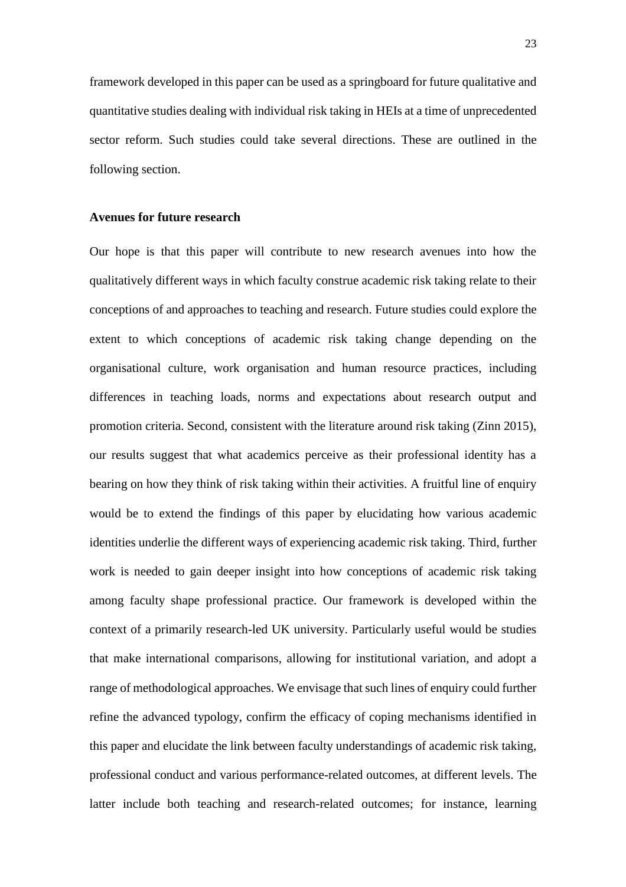framework developed in this paper can be used as a springboard for future qualitative and quantitative studies dealing with individual risk taking in HEIs at a time of unprecedented sector reform. Such studies could take several directions. These are outlined in the following section.

# **Avenues for future research**

Our hope is that this paper will contribute to new research avenues into how the qualitatively different ways in which faculty construe academic risk taking relate to their conceptions of and approaches to teaching and research. Future studies could explore the extent to which conceptions of academic risk taking change depending on the organisational culture, work organisation and human resource practices, including differences in teaching loads, norms and expectations about research output and promotion criteria. Second, consistent with the literature around risk taking (Zinn 2015), our results suggest that what academics perceive as their professional identity has a bearing on how they think of risk taking within their activities. A fruitful line of enquiry would be to extend the findings of this paper by elucidating how various academic identities underlie the different ways of experiencing academic risk taking. Third, further work is needed to gain deeper insight into how conceptions of academic risk taking among faculty shape professional practice. Our framework is developed within the context of a primarily research-led UK university. Particularly useful would be studies that make international comparisons, allowing for institutional variation, and adopt a range of methodological approaches. We envisage that such lines of enquiry could further refine the advanced typology, confirm the efficacy of coping mechanisms identified in this paper and elucidate the link between faculty understandings of academic risk taking, professional conduct and various performance-related outcomes, at different levels. The latter include both teaching and research-related outcomes; for instance, learning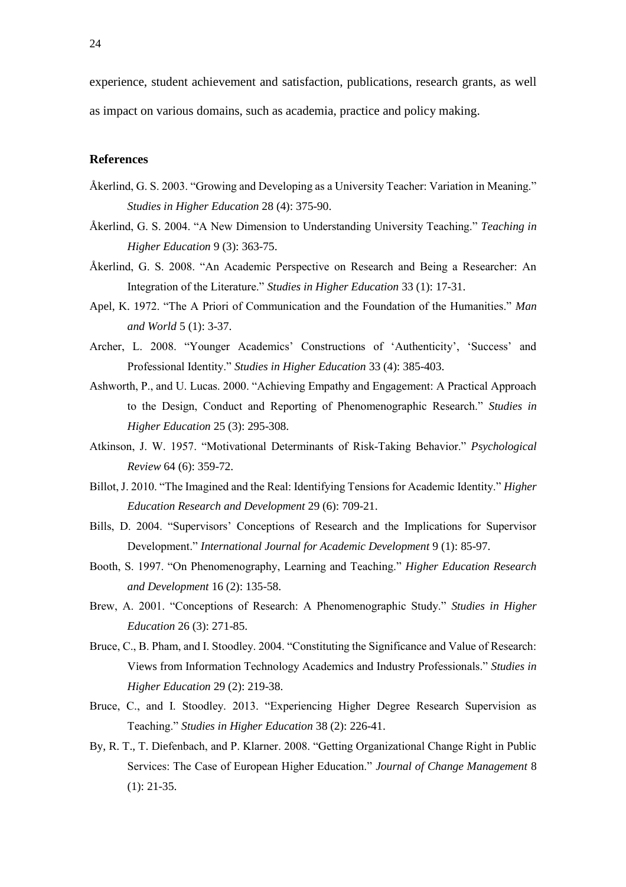experience, student achievement and satisfaction, publications, research grants, as well as impact on various domains, such as academia, practice and policy making.

## **References**

- Åkerlind, G. S. 2003. "Growing and Developing as a University Teacher: Variation in Meaning." *Studies in Higher Education* 28 (4): 375-90.
- Åkerlind, G. S. 2004. "A New Dimension to Understanding University Teaching." *Teaching in Higher Education* 9 (3): 363-75.
- Åkerlind, G. S. 2008. "An Academic Perspective on Research and Being a Researcher: An Integration of the Literature." *Studies in Higher Education* 33 (1): 17-31.
- Apel, K. 1972. "The A Priori of Communication and the Foundation of the Humanities." *Man and World* 5 (1): 3-37.
- Archer, L. 2008. "Younger Academics' Constructions of 'Authenticity', 'Success' and Professional Identity." *Studies in Higher Education* 33 (4): 385-403.
- Ashworth, P., and U. Lucas. 2000. "Achieving Empathy and Engagement: A Practical Approach to the Design, Conduct and Reporting of Phenomenographic Research." *Studies in Higher Education* 25 (3): 295-308.
- Atkinson, J. W. 1957. "Motivational Determinants of Risk-Taking Behavior." *Psychological Review* 64 (6): 359-72.
- Billot, J. 2010. "The Imagined and the Real: Identifying Tensions for Academic Identity." *Higher Education Research and Development* 29 (6): 709-21.
- Bills, D. 2004. "Supervisors' Conceptions of Research and the Implications for Supervisor Development." *International Journal for Academic Development* 9 (1): 85-97.
- Booth, S. 1997. "On Phenomenography, Learning and Teaching." *Higher Education Research and Development* 16 (2): 135-58.
- Brew, A. 2001. "Conceptions of Research: A Phenomenographic Study." *Studies in Higher Education* 26 (3): 271-85.
- Bruce, C., B. Pham, and I. Stoodley. 2004. "Constituting the Significance and Value of Research: Views from Information Technology Academics and Industry Professionals." *Studies in Higher Education* 29 (2): 219-38.
- Bruce, C., and I. Stoodley. 2013. "Experiencing Higher Degree Research Supervision as Teaching." *Studies in Higher Education* 38 (2): 226-41.
- By, R. T., T. Diefenbach, and P. Klarner. 2008. "Getting Organizational Change Right in Public Services: The Case of European Higher Education." *Journal of Change Management* 8  $(1): 21-35.$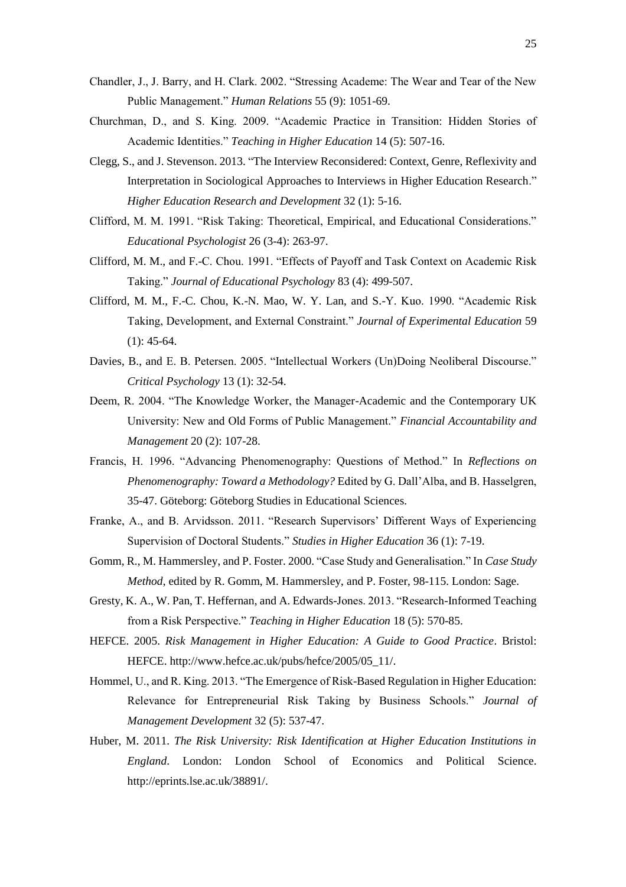- Chandler, J., J. Barry, and H. Clark. 2002. "Stressing Academe: The Wear and Tear of the New Public Management." *Human Relations* 55 (9): 1051-69.
- Churchman, D., and S. King. 2009. "Academic Practice in Transition: Hidden Stories of Academic Identities." *Teaching in Higher Education* 14 (5): 507-16.
- Clegg, S., and J. Stevenson. 2013. "The Interview Reconsidered: Context, Genre, Reflexivity and Interpretation in Sociological Approaches to Interviews in Higher Education Research." *Higher Education Research and Development* 32 (1): 5-16.
- Clifford, M. M. 1991. "Risk Taking: Theoretical, Empirical, and Educational Considerations." *Educational Psychologist* 26 (3-4): 263-97.
- Clifford, M. M., and F.-C. Chou. 1991. "Effects of Payoff and Task Context on Academic Risk Taking." *Journal of Educational Psychology* 83 (4): 499-507.
- Clifford, M. M., F.-C. Chou, K.-N. Mao, W. Y. Lan, and S.-Y. Kuo. 1990. "Academic Risk Taking, Development, and External Constraint." *Journal of Experimental Education* 59  $(1): 45-64.$
- Davies, B., and E. B. Petersen. 2005. "Intellectual Workers (Un)Doing Neoliberal Discourse." *Critical Psychology* 13 (1): 32-54.
- Deem, R. 2004. "The Knowledge Worker, the Manager-Academic and the Contemporary UK University: New and Old Forms of Public Management." *Financial Accountability and Management* 20 (2): 107-28.
- Francis, H. 1996. "Advancing Phenomenography: Questions of Method." In *Reflections on Phenomenography: Toward a Methodology?* Edited by G. Dall'Alba, and B. Hasselgren, 35-47. Göteborg: Göteborg Studies in Educational Sciences.
- Franke, A., and B. Arvidsson. 2011. "Research Supervisors' Different Ways of Experiencing Supervision of Doctoral Students." *Studies in Higher Education* 36 (1): 7-19.
- Gomm, R., M. Hammersley, and P. Foster. 2000. "Case Study and Generalisation." In *Case Study Method*, edited by R. Gomm, M. Hammersley, and P. Foster, 98-115. London: Sage.
- Gresty, K. A., W. Pan, T. Heffernan, and A. Edwards-Jones. 2013. "Research-Informed Teaching from a Risk Perspective." *Teaching in Higher Education* 18 (5): 570-85.
- HEFCE. 2005. *Risk Management in Higher Education: A Guide to Good Practice*. Bristol: HEFCE. http://www.hefce.ac.uk/pubs/hefce/2005/05\_11/.
- Hommel, U., and R. King. 2013. "The Emergence of Risk-Based Regulation in Higher Education: Relevance for Entrepreneurial Risk Taking by Business Schools." *Journal of Management Development* 32 (5): 537-47.
- Huber, M. 2011. *The Risk University: Risk Identification at Higher Education Institutions in England*. London: London School of Economics and Political Science. http://eprints.lse.ac.uk/38891/.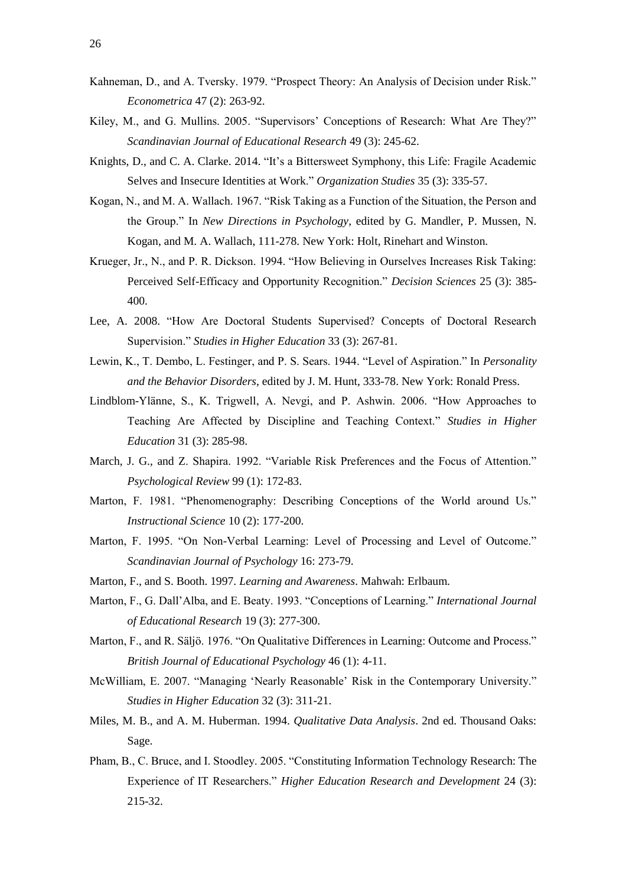- Kahneman, D., and A. Tversky. 1979. "Prospect Theory: An Analysis of Decision under Risk." *Econometrica* 47 (2): 263-92.
- Kiley, M., and G. Mullins. 2005. "Supervisors' Conceptions of Research: What Are They?" *Scandinavian Journal of Educational Research* 49 (3): 245-62.
- Knights, D., and C. A. Clarke. 2014. "It's a Bittersweet Symphony, this Life: Fragile Academic Selves and Insecure Identities at Work." *Organization Studies* 35 (3): 335-57.
- Kogan, N., and M. A. Wallach. 1967. "Risk Taking as a Function of the Situation, the Person and the Group." In *New Directions in Psychology*, edited by G. Mandler, P. Mussen, N. Kogan, and M. A. Wallach, 111-278. New York: Holt, Rinehart and Winston.
- Krueger, Jr., N., and P. R. Dickson. 1994. "How Believing in Ourselves Increases Risk Taking: Perceived Self-Efficacy and Opportunity Recognition." *Decision Sciences* 25 (3): 385- 400.
- Lee, A. 2008. "How Are Doctoral Students Supervised? Concepts of Doctoral Research Supervision." *Studies in Higher Education* 33 (3): 267-81.
- Lewin, K., T. Dembo, L. Festinger, and P. S. Sears. 1944. "Level of Aspiration." In *Personality and the Behavior Disorders*, edited by J. M. Hunt, 333-78. New York: Ronald Press.
- Lindblom-Ylänne, S., K. Trigwell, A. Nevgi, and P. Ashwin. 2006. "How Approaches to Teaching Are Affected by Discipline and Teaching Context." *Studies in Higher Education* 31 (3): 285-98.
- March, J. G., and Z. Shapira. 1992. "Variable Risk Preferences and the Focus of Attention." *Psychological Review* 99 (1): 172-83.
- Marton, F. 1981. "Phenomenography: Describing Conceptions of the World around Us." *Instructional Science* 10 (2): 177-200.
- Marton, F. 1995. "On Non-Verbal Learning: Level of Processing and Level of Outcome." *Scandinavian Journal of Psychology* 16: 273-79.
- Marton, F., and S. Booth. 1997. *Learning and Awareness*. Mahwah: Erlbaum.
- Marton, F., G. Dall'Alba, and E. Beaty. 1993. "Conceptions of Learning." *International Journal of Educational Research* 19 (3): 277-300.
- Marton, F., and R. Säljö. 1976. "On Qualitative Differences in Learning: Outcome and Process." *British Journal of Educational Psychology* 46 (1): 4-11.
- McWilliam, E. 2007. "Managing 'Nearly Reasonable' Risk in the Contemporary University." *Studies in Higher Education* 32 (3): 311-21.
- Miles, M. B., and A. M. Huberman. 1994. *Qualitative Data Analysis*. 2nd ed. Thousand Oaks: Sage.
- Pham, B., C. Bruce, and I. Stoodley. 2005. "Constituting Information Technology Research: The Experience of IT Researchers." *Higher Education Research and Development* 24 (3): 215-32.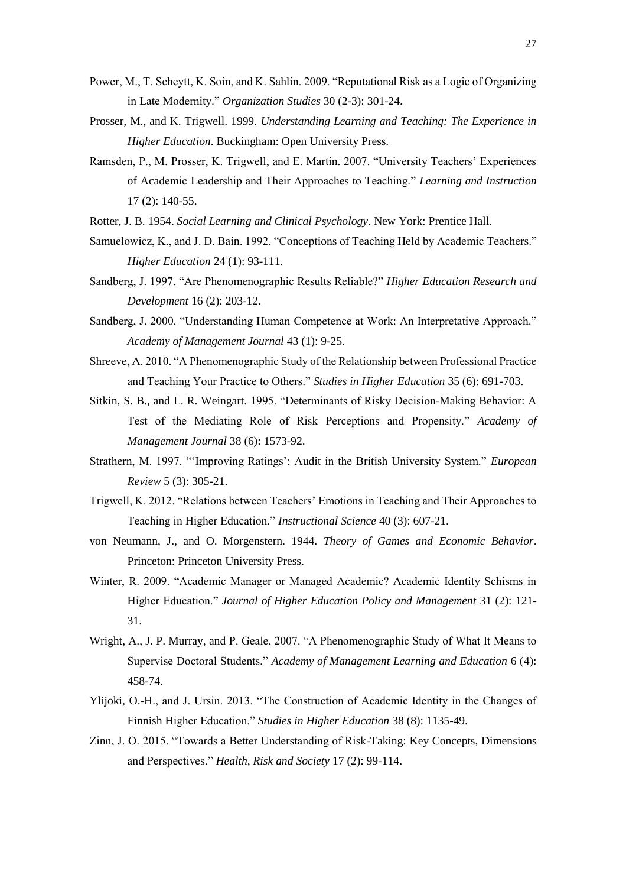- Power, M., T. Scheytt, K. Soin, and K. Sahlin. 2009. "Reputational Risk as a Logic of Organizing in Late Modernity." *Organization Studies* 30 (2-3): 301-24.
- Prosser, M., and K. Trigwell. 1999. *Understanding Learning and Teaching: The Experience in Higher Education*. Buckingham: Open University Press.
- Ramsden, P., M. Prosser, K. Trigwell, and E. Martin. 2007. "University Teachers' Experiences of Academic Leadership and Their Approaches to Teaching." *Learning and Instruction* 17 (2): 140-55.
- Rotter, J. B. 1954. *Social Learning and Clinical Psychology*. New York: Prentice Hall.
- Samuelowicz, K., and J. D. Bain. 1992. "Conceptions of Teaching Held by Academic Teachers." *Higher Education* 24 (1): 93-111.
- Sandberg, J. 1997. "Are Phenomenographic Results Reliable?" *Higher Education Research and Development* 16 (2): 203-12.
- Sandberg, J. 2000. "Understanding Human Competence at Work: An Interpretative Approach." *Academy of Management Journal* 43 (1): 9-25.
- Shreeve, A. 2010. "A Phenomenographic Study of the Relationship between Professional Practice and Teaching Your Practice to Others." *Studies in Higher Education* 35 (6): 691-703.
- Sitkin, S. B., and L. R. Weingart. 1995. "Determinants of Risky Decision-Making Behavior: A Test of the Mediating Role of Risk Perceptions and Propensity." *Academy of Management Journal* 38 (6): 1573-92.
- Strathern, M. 1997. "'Improving Ratings': Audit in the British University System." *European Review* 5 (3): 305-21.
- Trigwell, K. 2012. "Relations between Teachers' Emotions in Teaching and Their Approaches to Teaching in Higher Education." *Instructional Science* 40 (3): 607-21.
- von Neumann, J., and O. Morgenstern. 1944. *Theory of Games and Economic Behavior*. Princeton: Princeton University Press.
- Winter, R. 2009. "Academic Manager or Managed Academic? Academic Identity Schisms in Higher Education." *Journal of Higher Education Policy and Management* 31 (2): 121- 31.
- Wright, A., J. P. Murray, and P. Geale. 2007. "A Phenomenographic Study of What It Means to Supervise Doctoral Students." *Academy of Management Learning and Education* 6 (4): 458-74.
- Ylijoki, O.-H., and J. Ursin. 2013. "The Construction of Academic Identity in the Changes of Finnish Higher Education." *Studies in Higher Education* 38 (8): 1135-49.
- Zinn, J. O. 2015. "Towards a Better Understanding of Risk-Taking: Key Concepts, Dimensions and Perspectives." *Health, Risk and Society* 17 (2): 99-114.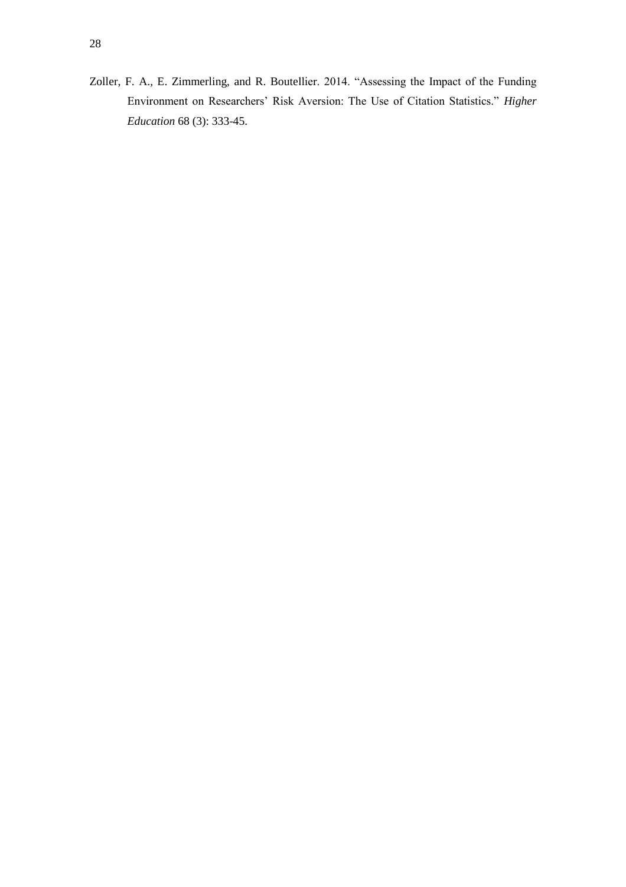Zoller, F. A., E. Zimmerling, and R. Boutellier. 2014. "Assessing the Impact of the Funding Environment on Researchers' Risk Aversion: The Use of Citation Statistics." *Higher Education* 68 (3): 333-45.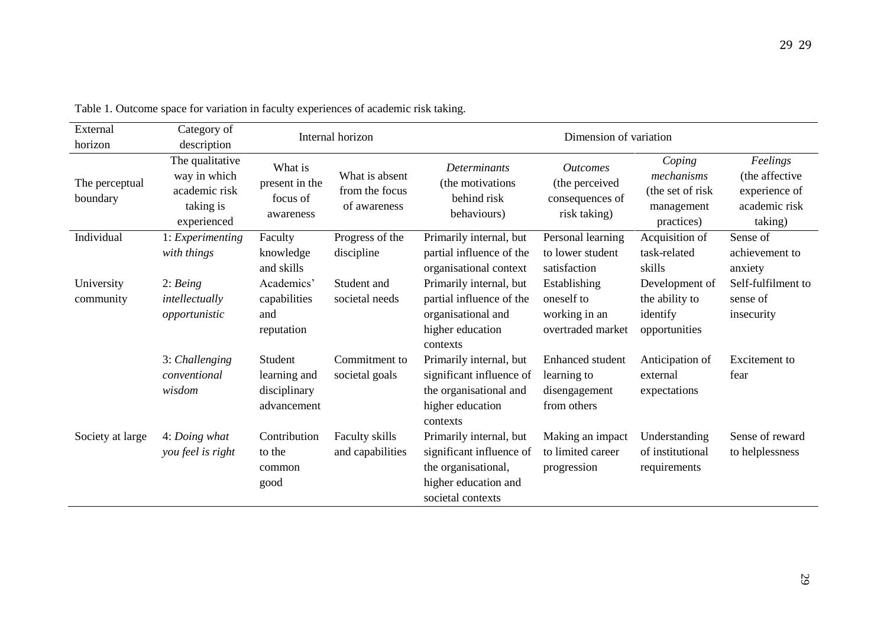| Category of<br>description                                                   | Internal horizon                                       |                                                  | Dimension of variation                                                                                        |                                                                                    |                                                                       |                                                                          |
|------------------------------------------------------------------------------|--------------------------------------------------------|--------------------------------------------------|---------------------------------------------------------------------------------------------------------------|------------------------------------------------------------------------------------|-----------------------------------------------------------------------|--------------------------------------------------------------------------|
| The qualitative<br>way in which<br>academic risk<br>taking is<br>experienced | What is<br>present in the<br>focus of<br>awareness     | What is absent<br>from the focus<br>of awareness | <b>Determinants</b><br>(the motivations<br>behind risk<br>behaviours)                                         | <i><u><b>Outcomes</b></u></i><br>(the perceived<br>consequences of<br>risk taking) | Coping<br>mechanisms<br>(the set of risk)<br>management<br>practices) | Feelings<br>(the affective)<br>experience of<br>academic risk<br>taking) |
| 1: Experimenting<br>with things                                              | Faculty<br>knowledge<br>and skills                     | Progress of the<br>discipline                    | Primarily internal, but<br>partial influence of the<br>organisational context                                 | Personal learning<br>to lower student<br>satisfaction                              | Acquisition of<br>task-related<br>skills                              | Sense of<br>achievement to<br>anxiety                                    |
| 2: Being<br>intellectually<br>opportunistic                                  | Academics'<br>capabilities<br>and<br>reputation        | Student and<br>societal needs                    | Primarily internal, but<br>partial influence of the<br>organisational and<br>higher education<br>contexts     | Establishing<br>oneself to<br>working in an<br>overtraded market                   | Development of<br>the ability to<br>identify<br>opportunities         | Self-fulfilment to<br>sense of<br>insecurity                             |
| 3: Challenging<br>conventional<br>wisdom                                     | Student<br>learning and<br>disciplinary<br>advancement | Commitment to<br>societal goals                  | Primarily internal, but<br>significant influence of<br>the organisational and<br>higher education<br>contexts | <b>Enhanced</b> student<br>learning to<br>disengagement<br>from others             | Anticipation of<br>external<br>expectations                           | Excitement to<br>fear                                                    |
| $\Lambda$ . Doing what                                                       | Contribution                                           | Faculty skills                                   | ${\rm \bf p_{rim}$ arily internal ${\rm \bf h_{l}}$                                                           | Making an impact Inderstanding                                                     |                                                                       | Sance of reward                                                          |

Table 1. Outcome space for variation in faculty experiences of academic risk taking.

External horizon

The perceptual boundary

 $Indivial$ 

University community

Society at large 4: *Doing what you feel is right* Contribution to the common good Faculty skills and capabilities Primarily internal, but significant influence of the organisational, higher education and societal contexts Making an impact to limited career progression Understanding of institutional requirements Sense of reward to helplessness